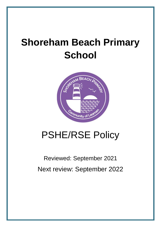# **Shoreham Beach Primary School**



# PSHE/RSE Policy

# Reviewed: September 2021 Next review: September 2022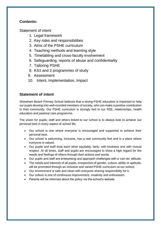# **Contents:**

Statement of intent

- 1. Legal framework
- 2. Key roles and responsibilities
- 3. Aims of the PSHE curriculum
- 4. Teaching methods and learning style
- 5. Timetabling and cross-faculty involvement
- 6. Safeguarding, reports of abuse and confidentiality
- 7. Tailoring PSHE
- 8. KS1 and 2 programmes of study
- 9. Assessment
- 10. Intent, Implementation, Impact

# **Statement of intent**

Shoreham Beach Primary School believes that a strong PSHE education is important to help our pupils develop into well-rounded members of society, who can make a positive contribution to their community. Our PSHE curriculum is strongly tied to our RSE, relationships, health education and pastoral care programme.

The vision for pupils, staff and others linked to our school is to always look to achieve our personal best in every aspect of school life.

- Our school is one where everyone is encouraged and supported to achieve their personal best.
- Our school is welcoming, inclusive, has a real community feel and is a place where everyone is valued.
- Our pupils and staff treat each other equitably, fairly, with kindness and with mutual respect. At all times, staff and pupils are encouraged to show a high regard for the needs and feelings of others through their actions and words.
- Our pupils and staff are enterprising and approach challenges with a 'can-do' attitude.
- The needs and interests of all pupils, irrespective of gender, culture, ability or aptitude, will be promoted through an inclusive and varied PSHE curriculum at our school.
- Our environment is safe and clean with everyone sharing responsibility for it.
- Our culture is one of continuous improvement, creativity and enthusiasm.
- Parents will be informed about the policy via the school's website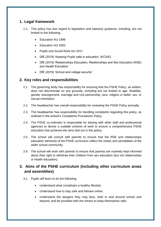# **1. Legal framework**

- 1.1. This policy has due regard to legislation and statutory guidance, including, but not limited to the following:
	- Education Act 1996
	- Education Act 2002
	- Pupils and Social Work Act 2017
	- DfE (2019) 'Keeping Pupils safe in education' (KCSIE)
	- DfE (2019) 'Relationships Education, Relationships and Sex Education (RSE) and Health Education'
	- DfE (2019) 'School and college security'

# **2. Key roles and responsibilities**

- 2.1. The governing body has responsibility for ensuring that the PSHE Policy, as written, does not discriminate on any grounds, including but not limited to age, disability, gender reassignment, marriage and civil partnership, race, religion or belief, sex, or sexual orientation.
- 2.2. The headteacher has overall responsibility for reviewing the PSHE Policy annually.
- 2.3. The headteacher has responsibility for handling complaints regarding this policy, as outlined in the school's Complaints Procedures Policy.
- 2.4. The PSHE co-ordinator is responsible for liaising with other staff and professional agencies to devise a suitable scheme of work to ensure a comprehensive PSHE education that achieves the aims laid out in this policy.
- 2.5. The school will consult with parents to ensure that the RSE and relationships education elements of the PSHE curriculum reflect the needs and sensibilities of the wider school community.
- 2.6. The school will work with parents to ensure that parents are routinely kept informed about their right to withdraw their children from sex education (but not relationships or health education).

# **3. Aims of the PSHE curriculum (including other curriculum areas and assemblies)**

- 3.1. Pupils will learn to do the following:
	- Understand what constitutes a healthy lifestyle.
	- Understand how to stay safe and behave online.
	- Understand the dangers they may face, both in and around school and beyond, and be provided with the means to keep themselves safe.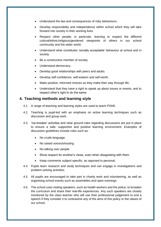- Understand the law and consequences of risky behaviours.
- Develop responsibility and independence within school which they will take forward into society in their working lives.
- Respect other people, in particular, learning to respect the different cultural/ethnic/religious/gendered viewpoints of others in our school community and the wider world.
- Understand what constitutes 'socially acceptable' behaviour at school and in society.
- Be a constructive member of society.
- Understand democracy.
- Develop good relationships with peers and adults.
- Develop self-confidence, self-esteem and self-worth.
- Make positive, informed choices as they make their way through life.
- Understand that they have a right to speak up about issues or events, and to respect other's right to do the same.

#### **4. Teaching methods and learning style**

- 4.1. A range of teaching and learning styles are used to teach PSHE.
- 4.2. Teaching is pupil-led with an emphasis on active learning techniques such as discussion and group work.
- 4.3. 'Ice-breaker' activities and clear ground rules regarding discussions are put in place to ensure a safe, supportive and positive learning environment. Examples of discussion guidelines include rules such as:
	- No crude language.
	- No raised voices/shouting.
	- No talking over people.
	- Show respect for another's views, even when disagreeing with them.
	- Keep comments subject-specific, as opposed to personal.
- 4.4. Pupils learn research and study techniques and can engage in investigations and problem-solving activities.
- 4.5. All pupils are encouraged to take part in charity work and volunteering, as well as organising school events such as assemblies and open evenings.
- 4.6. The school uses visiting speakers, such as health workers and the police, to broaden the curriculum and share their real-life experiences. Any such speakers are closely monitored by the class teacher who will use their professional judgement to end a speech if they consider it to contravene any of the aims of this policy or the values of our school.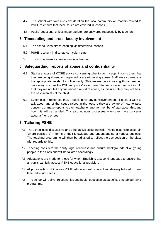- 4.7. The school with take into consideration the local community on matters related to PSHE to ensure that local issues are covered in lessons.
- 4.8. Pupils' questions, unless inappropriate, are answered respectfully by teachers.

### **5. Timetabling and cross-faculty involvement**

- 5.1. The school uses direct teaching via timetabled lessons.
- 5.2. PSHE is taught in discrete curriculum time.
- 5.3. The school ensures cross-curricular learning.

## **6. Safeguarding, reports of abuse and confidentiality**

- 6.1. Staff are aware of KCSIE advice concerning what to do if a pupil informs them that they are being abused or neglected or are witnessing abuse. Staff are also aware of the appropriate levels of confidentiality. This means only involving those deemed necessary, such as the DSL and pupils' social care. Staff must never promise a child that they will not tell anyone about a report of abuse, as this ultimately may not be in the best interests of the child.
- 6.2. Every lesson reinforces that, if pupils have any sensitive/personal issues or wish to talk about any of the issues raised in the lesson; they are aware of how to raise concerns or make reports to their teacher or another member of staff about this, and how this will be handled. This also includes processes when they have concerns about a friend or peer.

# **7. Tailoring PSHE**

- 7.1. The school uses discussions and other activities during initial PSHE lessons to ascertain 'where pupils are' in terms of their knowledge and understanding of various subjects. The teaching programme will then be adjusted to reflect the composition of the class with regards to this.
- 7.2. Teaching considers the ability, age, readiness and cultural backgrounds of all young people in the class and will be tailored accordingly.
- 7.3. Adaptations are made for those for whom English is a second language to ensure that all pupils can fully access PSHE educational provision.
- 7.4. All pupils with SEND receive PSHE education, with content and delivery tailored to meet their individual needs.
- 7.5. The school will deliver relationships and health education as part of its timetabled PSHE programme.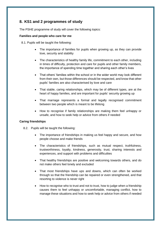# **8. KS1 and 2 programmes of study**

The PSHE programme of study will cover the following topics:

#### **Families and people who care for me**

8.1. Pupils will be taught the following:

- The importance of families for pupils when growing up, as they can provide love, security and stability
- The characteristics of healthy family life, commitment to each other, including in times of difficulty, protection and care for pupils and other family members, the importance of spending time together and sharing each other's lives
- That others' families within the school or in the wider world may look different from their own, but those differences should be respected, and know that other pupils' families are also characterised by love and care
- That stable, caring relationships, which may be of different types, are at the heart of happy families, and are important for pupils' security growing up
- That marriage represents a formal and legally recognised commitment between two people which is meant to be lifelong
- How to recognise if family relationships are making them feel unhappy or unsafe, and how to seek help or advice from others if needed

#### **Caring friendships**

- 8.2. Pupils will be taught the following:
	- The importance of friendships in making us feel happy and secure, and how people choose and make friends
	- The characteristics of friendships, such as mutual respect, truthfulness, trustworthiness, loyalty, kindness, generosity, trust, sharing interests and experiences, and support with problems and difficulties
	- That healthy friendships are positive and welcoming towards others, and do not make others feel lonely and excluded
	- That most friendships have ups and downs, which can often be worked through so that the friendship can be repaired or even strengthened, and that resorting to violence is never right
	- How to recognise who to trust and not to trust, how to judge when a friendship causes them to feel unhappy or uncomfortable, managing conflict, how to manage these situations and how to seek help or advice from others if needed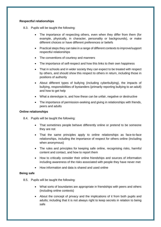#### **Respectful relationships**

- 8.3. Pupils will be taught the following:
	- The importance of respecting others, even when they differ from them (for example, physically, in character, personality or backgrounds), or make different choices or have different preferences or beliefs
	- Practical steps they can take in a range of different contexts to improve/support respectful relationships
	- The conventions of courtesy and manners
	- The importance of self-respect and how this links to their own happiness
	- That in schools and in wider society they can expect to be treated with respect by others, and should show this respect to others in return, including those in positions of authority
	- About different types of bullying (including cyberbullying), the impacts of bullying, responsibilities of bystanders (primarily reporting bullying to an adult) and how to get help
	- What a stereotype is, and how these can be unfair, negative or destructive
	- The importance of permission-seeking and giving in relationships with friends, peers and adults

#### **Online relationships**

- 8.4. Pupils will be taught the following:
	- That sometimes people behave differently online or pretend to be someone they are not
	- That the same principles apply to online relationships as face-to-face relationships, including the importance of respect for others online (including when anonymous)
	- The rules and principles for keeping safe online, recognising risks, harmful content and contact, and how to report them
	- How to critically consider their online friendships and sources of information including awareness of the risks associated with people they have never met
	- How information and data is shared and used online

#### **Being safe**

- 8.5. Pupils will be taught the following:
	- What sorts of boundaries are appropriate in friendships with peers and others (including online contexts)
	- About the concept of privacy and the implications of it from both pupils and adults; including that it is not always right to keep secrets in relation to being safe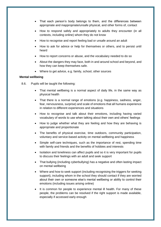- That each person's body belongs to them, and the differences between appropriate and inappropriate/unsafe physical, and other forms of, contact
- How to respond safely and appropriately to adults they encounter (in all contexts, including online) whom they do not know
- How to recognise and report feeling bad or unsafe around an adult
- How to ask for advice or help for themselves or others, and to persist until heard
- How to report concerns or abuse, and the vocabulary needed to do so
- About the dangers they may face, both in and around school and beyond, and how they can keep themselves safe.
- Where to get advice, e.g. family, school, other sources

#### **Mental wellbeing**

- 8.6. Pupils will be taught the following:
	- That mental wellbeing is a normal aspect of daily life, in the same way as physical health
	- That there is a normal range of emotions (e.g. happiness, sadness, anger, fear, nervousness, surprise) and scale of emotions that all humans experience in relation to different experiences and situations
	- How to recognise and talk about their emotions, including having varied vocabulary of words to use when talking about their own and others' feelings
	- How to judge whether what they are feeling and how they are behaving is appropriate and proportionate
	- The benefits of physical exercise, time outdoors, community participation, voluntary and service-based activity on mental wellbeing and happiness
	- Simple self-care techniques, such as the importance of rest, spending time with family and friends and the benefits of hobbies and interests
	- Isolation and loneliness can affect pupils and so it is very important for pupils to discuss their feelings with an adult and seek support
	- That bullying (including cyberbullying) has a negative and often lasting impact on mental wellbeing
	- Where and how to seek support (including recognising the triggers for seeking support), including whom in the school they should contact if they are worried about their own or someone else's mental wellbeing or ability to control their emotions (including issues arising online)
	- It is common for people to experience mental ill health. For many of these people, the problems can be resolved if the right support is made available, especially if accessed early enough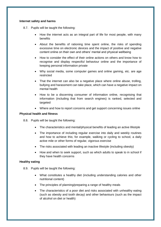#### **Internet safety and harms**

- 8.7. Pupils will be taught the following:
	- How the internet acts as an integral part of life for most people, with many benefits
	- About the benefits of rationing time spent online, the risks of spending excessive time on electronic devices and the impact of positive and negative content online on their own and others' mental and physical wellbeing
	- How to consider the effect of their online actions on others and know how to recognise and display respectful behaviour online and the importance of keeping personal information private
	- Why social media, some computer games and online gaming, etc. are age restricted
	- That the internet can also be a negative place where online abuse, trolling, bullying and harassment can take place, which can have a negative impact on mental health
	- How to be a discerning consumer of information online, recognising that information (including that from search engines) is ranked, selected and targeted
	- Where and how to report concerns and get support concerning issues online

#### **Physical health and fitness**

- 8.8. Pupils will be taught the following:
	- The characteristics and mental/physical benefits of leading an active lifestyle
	- The importance of including regular exercise into daily and weekly routines and how to achieve this; for example, walking or cycling to school, a daily active mile or other forms of regular, vigorous exercise
	- The risks associated with leading an inactive lifestyle (including obesity)
	- How and when to seek support, such as which adults to speak to in school if they have health concerns

#### **Healthy eating**

- 8.9. Pupils will be taught the following:
	- What constitutes a healthy diet (including understanding calories and other nutritional content)
	- The principles of planning/preparing a range of healthy meals
	- The characteristics of a poor diet and risks associated with unhealthy eating (such as obesity and tooth decay) and other behaviours (such as the impact of alcohol on diet or health)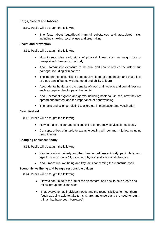#### **Drugs, alcohol and tobacco**

8.10. Pupils will be taught the following:

 The facts about legal/illegal harmful substances and associated risks, including smoking, alcohol use and drug-taking

#### **Health and prevention**

8.11. Pupils will be taught the following:

- How to recognise early signs of physical illness, such as weight loss or unexplained changes to the body
- About safe/unsafe exposure to the sun, and how to reduce the risk of sun damage, including skin cancer
- The importance of sufficient good quality sleep for good health and that a lack of sleep can influence weight, mood and ability to learn
- About dental health and the benefits of good oral hygiene and dental flossing, such as regular check-ups at the dentist
- About personal hygiene and germs including bacteria, viruses, how they are spread and treated, and the importance of handwashing
- The facts and science relating to allergies, immunisation and vaccination

#### **Basic first aid**

8.12. Pupils will be taught the following:

- How to make a clear and efficient call to emergency services if necessary
- Concepts of basic first aid, for example dealing with common injuries, including head injuries

#### **Changing adolescent body**

8.13. Pupils will be taught the following:

- Key facts about puberty and the changing adolescent body, particularly from age 9 through to age 11, including physical and emotional changes
- About menstrual wellbeing and key facts concerning the menstrual cycle

#### **Economic wellbeing and being a responsible citizen**

8.14. Pupils will be taught the following:

- How to contribute to the life of the classroom, and how to help create and follow group and class rules
- That everyone has individual needs and the responsibilities to meet them (such as being able to take turns, share, and understand the need to return things that have been borrowed)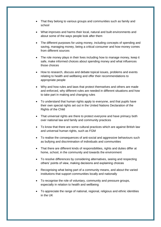- That they belong to various groups and communities such as family and school
- What improves and harms their local, natural and built environments and about some of the ways people look after them
- The different purposes for using money, including concepts of spending and saving, managing money, being a critical consumer and how money comes from different sources
- The role money plays in their lives including how to manage money, keep it safe, make informed choices about spending money and what influences those choices
- How to research, discuss and debate topical issues, problems and events relating to health and wellbeing and offer their recommendations to appropriate people
- Why and how rules and laws that protect themselves and others are made and enforced, why different rules are needed in different situations and how to take part in making and changing rules
- To understand that human rights apply to everyone, and that pupils have their own special rights set out in the United Nations Declaration of the Rights of the Child
- That universal rights are there to protect everyone and have primacy both over national law and family and community practices
- To know that there are some cultural practices which are against British law and universal human rights, such as FGM
- To realise the consequences of anti-social and aggressive behaviours such as bullying and discrimination of individuals and communities
- That there are different kinds of responsibilities, rights and duties differ at home, school, in the community and towards the environment
- To resolve differences by considering alternatives, seeing and respecting others' points of view, making decisions and explaining choices
- Recognising what being part of a community means, and about the varied institutions that support communities locally and nationally
- To recognise the role of voluntary, community and pressure groups, especially in relation to health and wellbeing
- To appreciate the range of national, regional, religious and ethnic identities in the UK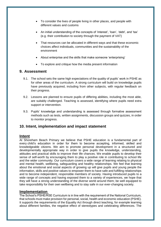- To consider the lives of people living in other places, and people with different values and customs
- An initial understanding of the concepts of 'interest', 'loan', 'debt', and 'tax' (e.g. their contribution to society through the payment of VAT)
- That resources can be allocated in different ways and that these economic choices affect individuals, communities and the sustainability of the environment
- About enterprise and the skills that make someone 'enterprising'
- To explore and critique how the media present information

#### **9. Assessment**

- 9.1. The school sets the same high expectations of the quality of pupils' work in PSHE as for other areas of the curriculum. A strong curriculum will build on knowledge pupils have previously acquired, including from other subjects, with regular feedback on their progress.
- 9.2. Lessons are planned to ensure pupils of differing abilities, including the most able, are suitably challenged. Teaching is assessed, identifying where pupils need extra support or intervention.
- 9.3. Pupils' knowledge and understanding is assessed through formative assessment methods such as tests, written assignments, discussion groups and quizzes, in order to monitor progress.

## **10. Intent, implementation and impact statement**

#### **Intent**

At Shoreham Beach Primary we believe that PSHE education is a fundamental part of every child's education in order for them to become accepting, informed, skilled and knowledgeable citizens. We aim to promote personal development in a structured and developmentally appropriate way in order to give pupils the knowledge, understanding, attitudes and practical skills to improve their life chances. We enable pupils to develop their sense of self-worth by encouraging them to play a positive role in contributing to school life and the wider community. Our curriculum covers a wide range of learning relating to physical and mental health, wellbeing, safeguarding and healthy relationships. We feel that learning about the emotional and social aspects of growing up will give pupils and young people the information, skills and positive values to empower them to have safe and fulfilling relationships and to become independent, responsible members of society. Having introduced pupils to a wide range of concepts and having exposed them to a variety of experiences, we hope that they will have a strong understanding of the diverse world around them; be well equipped to take responsibility for their own wellbeing and to stay safe in our ever-changing society.

#### **Implementation**

The School's PSHE/RSE Curriculum is in line with the requirement of the National Curriculum, that schools must make provision for personal, social, health and economic education (PSHE). It supports the requirements of the Equality Act through direct teaching, for example learning about different families, the negative effect of stereotypes and celebrating differences. The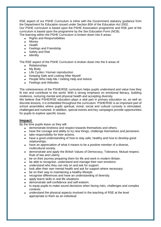RSE aspect of our PSHE Curriculum is inline with the Government statutory guidance from the Department for Education issued under Section 80A of the Education Act 2002. Our PSHE curriculum is based upon the PSHE Association programme and RSE part of the curriculum is based upon the programme by the Sex Education Form (NCB). The learning within the PSHE Curriculum is broken down into 6 areas:

- Rights and Responsibilities
- Money
- Health
- Feelings and Friendship
- Safety and Risk
- Identity

The RSE aspect of the PSHE Curriculum is broken down into the 6 areas of:

- Relationships
- My Body
- Life Cycles / Human reproduction
- Keeping Safe and Looking After Myself
- People Who Help Me / Getting Help and Advice
- Feelings and Attitudes

The cohesiveness of the PSHE/RSE curriculum helps pupils understand and value how they fit into and contribute to the world. With a strong emphasis on emotional literacy, building resilience, nurturing mental and physical health and accepting diversity.

We believe that PSHE/RSE education plays a vital part in primary education so, as well as discrete lessons, it is embedded throughout the curriculum. PSHE/RSE is an important part of school assemblies where pupils spiritual, moral, social and cultural curiosity is stimulated, challenged and nurtured. In addition, special events and key campaigns provide opportunities for pupils to explore specific issues.

#### **Impact**

By the time pupils leave us they will:

- demonstrate kindness and respect towards themselves and others.
- have the courage and ability to try new things, challenge themselves and persevere.
- take responsibility for their actions.
- have a good understanding of how to stay safe, healthy and how to develop good relationships.
- have an appreciation of what it means to be a positive member of a diverse, multicultural society.
- demonstrate and apply the British Values of Democracy, Tolerance, Mutual respect, Rule of law and Liberty.
- be on their journey preparing them for life and work in modern Britain.
- be able to recognise, understand and manage their own emotions
- understand who they can rely on and ask for support.
- look after their own mental health and ask for support where necessary.
- be on their way to maintaining a healthy lifestyle.
- recognise differences and have an understanding of diversity.
- apply learnt skills in real life situations
- demonstrate self-confidence and self-esteem.
- to equip pupils to make sound decisions when facing risks, challenges and complex contexts.
- understand the physical aspects involved in the teaching of RSE at the level appropriate to them as an individual.